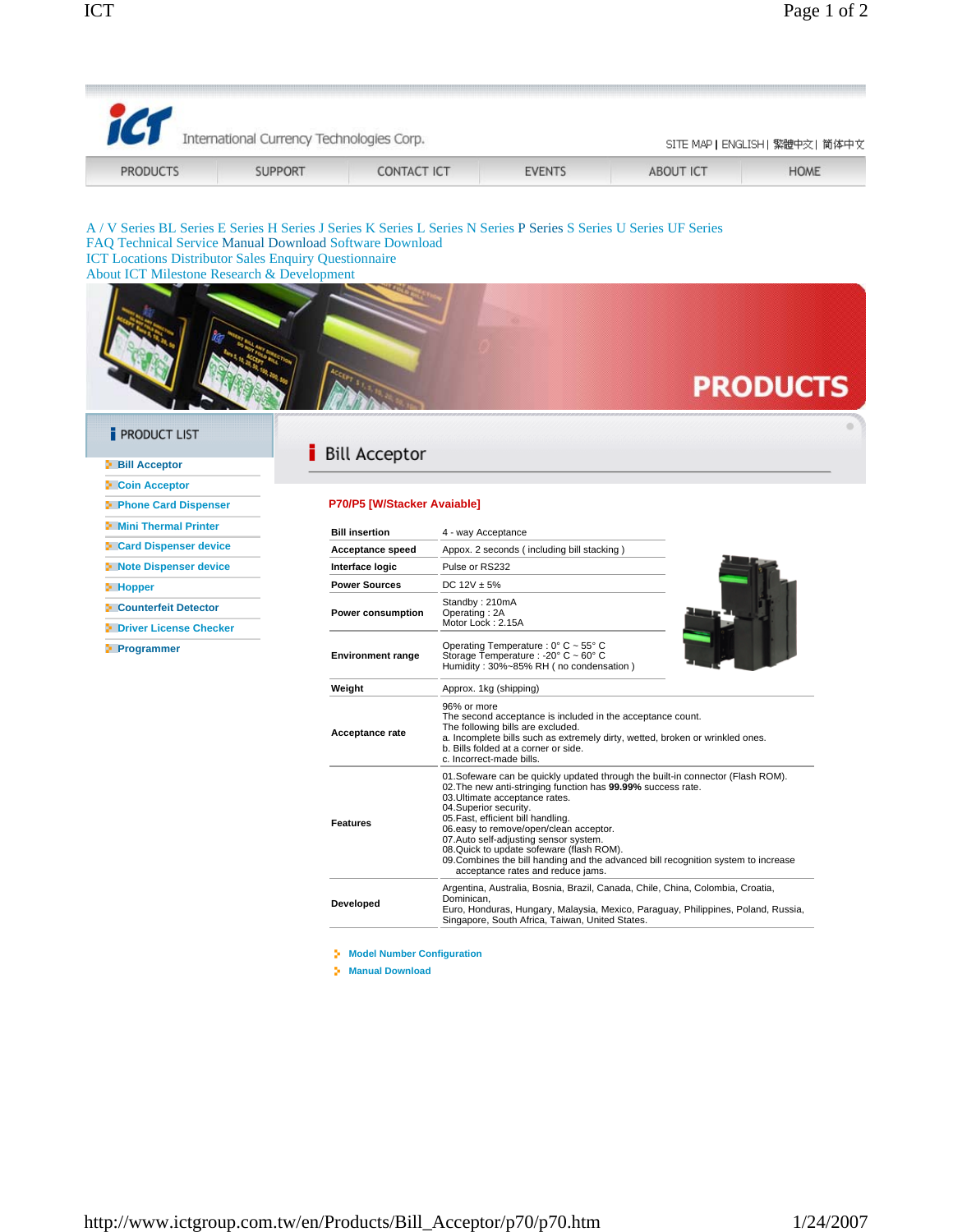| icr<br>International Currency Technologies Corp.                                                                                                                      |                |                             |                                                                                                                                                                                                                                                                                                                                                                                                                                                                                                             | SITE MAP   ENGLISH   繁體中交   简体中文 |                 |
|-----------------------------------------------------------------------------------------------------------------------------------------------------------------------|----------------|-----------------------------|-------------------------------------------------------------------------------------------------------------------------------------------------------------------------------------------------------------------------------------------------------------------------------------------------------------------------------------------------------------------------------------------------------------------------------------------------------------------------------------------------------------|----------------------------------|-----------------|
| <b>PRODUCTS</b>                                                                                                                                                       | <b>SUPPORT</b> | <b>CONTACT ICT</b>          | <b>EVENTS</b>                                                                                                                                                                                                                                                                                                                                                                                                                                                                                               | <b>ABOUT ICT</b>                 | <b>HOME</b>     |
| FAQ Technical Service Manual Download Software Download<br><b>ICT Locations Distributor Sales Enquiry Questionnaire</b><br>About ICT Milestone Research & Development |                |                             | A / V Series BL Series E Series H Series J Series K Series L Series N Series P Series S Series U Series UF Series                                                                                                                                                                                                                                                                                                                                                                                           |                                  | <b>PRODUCTS</b> |
| <b>PRODUCT LIST</b>                                                                                                                                                   |                | <b>Bill Acceptor</b>        |                                                                                                                                                                                                                                                                                                                                                                                                                                                                                                             |                                  |                 |
| <b>Bill Acceptor</b>                                                                                                                                                  |                |                             |                                                                                                                                                                                                                                                                                                                                                                                                                                                                                                             |                                  |                 |
| <b>• Coin Acceptor</b>                                                                                                                                                |                |                             |                                                                                                                                                                                                                                                                                                                                                                                                                                                                                                             |                                  |                 |
| <b>Phone Card Dispenser</b>                                                                                                                                           |                | P70/P5 [W/Stacker Avaiable] |                                                                                                                                                                                                                                                                                                                                                                                                                                                                                                             |                                  |                 |
| <b>E</b> Mini Thermal Printer                                                                                                                                         |                | <b>Bill insertion</b>       | 4 - way Acceptance                                                                                                                                                                                                                                                                                                                                                                                                                                                                                          |                                  |                 |
| <b>Card Dispenser device</b>                                                                                                                                          |                | <b>Acceptance speed</b>     | Appox. 2 seconds (including bill stacking)                                                                                                                                                                                                                                                                                                                                                                                                                                                                  |                                  |                 |
| Note Dispenser device                                                                                                                                                 |                | Interface logic             | Pulse or RS232                                                                                                                                                                                                                                                                                                                                                                                                                                                                                              |                                  |                 |
| <b>E</b> Hopper                                                                                                                                                       |                | <b>Power Sources</b>        | DC $12V \pm 5%$                                                                                                                                                                                                                                                                                                                                                                                                                                                                                             |                                  |                 |
| Counterfeit Detector                                                                                                                                                  |                | Power consumption           | Standby: 210mA                                                                                                                                                                                                                                                                                                                                                                                                                                                                                              |                                  |                 |
| <b>P</b> Driver License Checker                                                                                                                                       |                |                             | Operating: 2A<br>Motor Lock: 2.15A                                                                                                                                                                                                                                                                                                                                                                                                                                                                          |                                  |                 |
| <b>Programmer</b>                                                                                                                                                     |                | <b>Environment range</b>    | Operating Temperature : 0° C ~ 55° C<br>Storage Temperature : - 20° C ~ 60° C<br>Humidity: 30%~85% RH (no condensation)                                                                                                                                                                                                                                                                                                                                                                                     |                                  |                 |
|                                                                                                                                                                       |                | Weight                      | Approx. 1kg (shipping)                                                                                                                                                                                                                                                                                                                                                                                                                                                                                      |                                  |                 |
|                                                                                                                                                                       |                | Acceptance rate             | 96% or more<br>The second acceptance is included in the acceptance count.<br>The following bills are excluded.<br>a. Incomplete bills such as extremely dirty, wetted, broken or wrinkled ones.<br>b. Bills folded at a corner or side.<br>c. Incorrect-made bills.                                                                                                                                                                                                                                         |                                  |                 |
|                                                                                                                                                                       |                | <b>Features</b>             | 01. Sofeware can be quickly updated through the built-in connector (Flash ROM).<br>02. The new anti-stringing function has 99.99% success rate.<br>03. Ultimate acceptance rates.<br>04.Superior security.<br>05. Fast, efficient bill handling.<br>06.easy to remove/open/clean acceptor.<br>07.Auto self-adjusting sensor system.<br>08. Quick to update sofeware (flash ROM).<br>09. Combines the bill handing and the advanced bill recognition system to increase<br>acceptance rates and reduce jams. |                                  |                 |

Argentina, Australia, Bosnia, Brazil, Canada, Chile, China, Colombia, Croatia,<br>Dominican,<br>Euro, Honduras, Hungary, Malaysia, Mexico, Paraguay, Philippines, Poland, Russia,<br>Singapore, South Africa, Taiwan, United States.

**Developed**

**Model Number Configuration Manual Download**